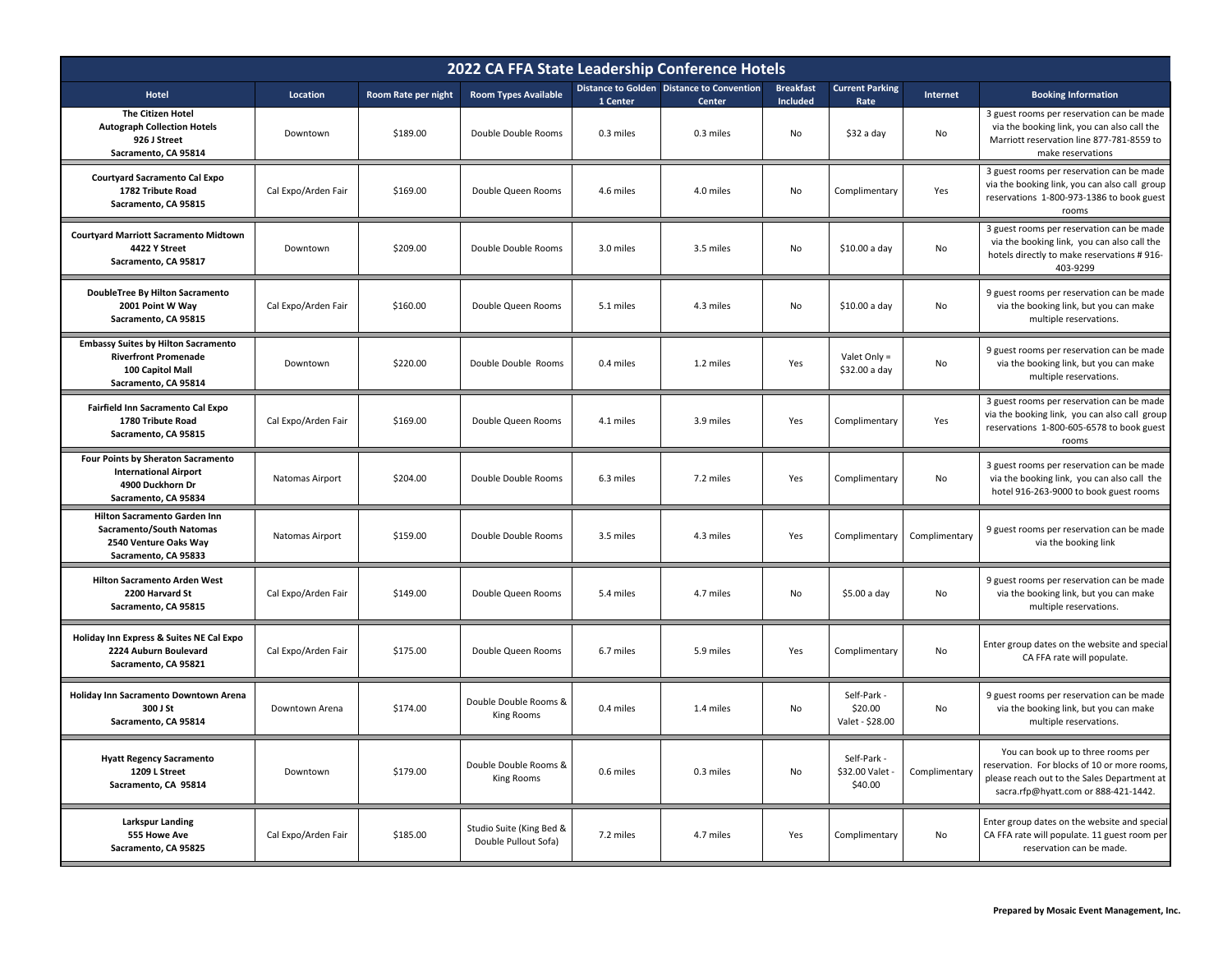| 2022 CA FFA State Leadership Conference Hotels                                                                        |                     |                     |                                                  |           |                                                     |                                     |                                           |               |                                                                                                                                                                           |  |
|-----------------------------------------------------------------------------------------------------------------------|---------------------|---------------------|--------------------------------------------------|-----------|-----------------------------------------------------|-------------------------------------|-------------------------------------------|---------------|---------------------------------------------------------------------------------------------------------------------------------------------------------------------------|--|
| Hotel                                                                                                                 | Location            | Room Rate per night | <b>Room Types Available</b>                      | 1 Center  | Distance to Golden Distance to Convention<br>Center | <b>Breakfast</b><br><b>Included</b> | <b>Current Parking</b><br>Rate            | Internet      | <b>Booking Information</b>                                                                                                                                                |  |
| <b>The Citizen Hotel</b><br><b>Autograph Collection Hotels</b><br>926 J Street<br>Sacramento, CA 95814                | Downtown            | \$189.00            | Double Double Rooms                              | 0.3 miles | 0.3 miles                                           | No                                  | \$32 a day                                | No            | 3 guest rooms per reservation can be made<br>via the booking link, you can also call the<br>Marriott reservation line 877-781-8559 to<br>make reservations                |  |
| <b>Courtyard Sacramento Cal Expo</b><br>1782 Tribute Road<br>Sacramento, CA 95815                                     | Cal Expo/Arden Fair | \$169.00            | Double Queen Rooms                               | 4.6 miles | 4.0 miles                                           | No                                  | Complimentary                             | Yes           | 3 guest rooms per reservation can be made<br>via the booking link, you can also call group<br>reservations 1-800-973-1386 to book guest<br>rooms                          |  |
| <b>Courtyard Marriott Sacramento Midtown</b><br>4422 Y Street<br>Sacramento, CA 95817                                 | Downtown            | \$209.00            | Double Double Rooms                              | 3.0 miles | 3.5 miles                                           | No                                  | \$10.00 a day                             | No            | 3 guest rooms per reservation can be made<br>via the booking link, you can also call the<br>hotels directly to make reservations #916-<br>403-9299                        |  |
| <b>DoubleTree By Hilton Sacramento</b><br>2001 Point W Way<br>Sacramento, CA 95815                                    | Cal Expo/Arden Fair | \$160.00            | Double Queen Rooms                               | 5.1 miles | 4.3 miles                                           | No                                  | \$10.00 a day                             | No            | 9 guest rooms per reservation can be made<br>via the booking link, but you can make<br>multiple reservations.                                                             |  |
| <b>Embassy Suites by Hilton Sacramento</b><br><b>Riverfront Promenade</b><br>100 Capitol Mall<br>Sacramento, CA 95814 | Downtown            | \$220.00            | Double Double Rooms                              | 0.4 miles | 1.2 miles                                           | Yes                                 | Valet Only =<br>\$32.00 a day             | No            | 9 guest rooms per reservation can be made<br>via the booking link, but you can make<br>multiple reservations.                                                             |  |
| Fairfield Inn Sacramento Cal Expo<br>1780 Tribute Road<br>Sacramento, CA 95815                                        | Cal Expo/Arden Fair | \$169.00            | Double Queen Rooms                               | 4.1 miles | 3.9 miles                                           | Yes                                 | Complimentary                             | Yes           | 3 guest rooms per reservation can be made<br>via the booking link, you can also call group<br>reservations 1-800-605-6578 to book guest<br>rooms                          |  |
| Four Points by Sheraton Sacramento<br><b>International Airport</b><br>4900 Duckhorn Dr<br>Sacramento, CA 95834        | Natomas Airport     | \$204.00            | Double Double Rooms                              | 6.3 miles | 7.2 miles                                           | Yes                                 | Complimentary                             | No            | 3 guest rooms per reservation can be made<br>via the booking link, you can also call the<br>hotel 916-263-9000 to book guest rooms                                        |  |
| Hilton Sacramento Garden Inn<br>Sacramento/South Natomas<br>2540 Venture Oaks Way<br>Sacramento, CA 95833             | Natomas Airport     | \$159.00            | Double Double Rooms                              | 3.5 miles | 4.3 miles                                           | Yes                                 | Complimentary                             | Complimentary | 9 guest rooms per reservation can be made<br>via the booking link                                                                                                         |  |
| Hilton Sacramento Arden West<br>2200 Harvard St<br>Sacramento, CA 95815                                               | Cal Expo/Arden Fair | \$149.00            | Double Queen Rooms                               | 5.4 miles | 4.7 miles                                           | No                                  | \$5.00 a day                              | No            | 9 guest rooms per reservation can be made<br>via the booking link, but you can make<br>multiple reservations.                                                             |  |
| Holiday Inn Express & Suites NE Cal Expo<br>2224 Auburn Boulevard<br>Sacramento, CA 95821                             | Cal Expo/Arden Fair | \$175.00            | Double Queen Rooms                               | 6.7 miles | 5.9 miles                                           | Yes                                 | Complimentary                             | No            | Enter group dates on the website and special<br>CA FFA rate will populate.                                                                                                |  |
| Holiday Inn Sacramento Downtown Arena<br>300 J St<br>Sacramento, CA 95814                                             | Downtown Arena      | \$174.00            | Double Double Rooms &<br>King Rooms              | 0.4 miles | 1.4 miles                                           | No                                  | Self-Park -<br>\$20.00<br>Valet - \$28.00 | No            | 9 guest rooms per reservation can be made<br>via the booking link, but you can make<br>multiple reservations.                                                             |  |
| <b>Hyatt Regency Sacramento</b><br>1209 L Street<br>Sacramento, CA 95814                                              | Downtown            | \$179.00            | Double Double Rooms &<br><b>King Rooms</b>       | 0.6 miles | 0.3 miles                                           | No                                  | Self-Park -<br>\$32.00 Valet<br>\$40.00   | Complimentary | You can book up to three rooms per<br>reservation. For blocks of 10 or more rooms,<br>please reach out to the Sales Department at<br>sacra.rfp@hyatt.com or 888-421-1442. |  |
| <b>Larkspur Landing</b><br>555 Howe Ave<br>Sacramento, CA 95825                                                       | Cal Expo/Arden Fair | \$185.00            | Studio Suite (King Bed &<br>Double Pullout Sofa) | 7.2 miles | 4.7 miles                                           | Yes                                 | Complimentary                             | No            | Enter group dates on the website and special<br>CA FFA rate will populate. 11 guest room per<br>reservation can be made.                                                  |  |